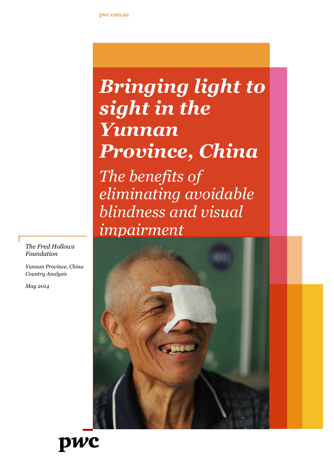# *Bringing light to sight in the Yunnan Province, China The benefits of eliminating avoidable blindness and visual impairment*





*Yunnan Province, China Country Analysis*

*May 2014*

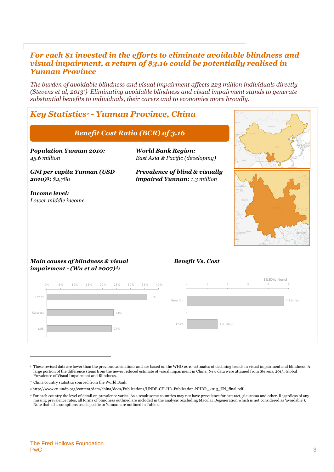## *For each \$1 invested in the efforts to eliminate avoidable blindness and visual impairment, a return of \$3.16 could be potentially realised in Yunnan Province*

*The burden of avoidable blindness and visual impairment affects 223 million individuals directly (Stevens et al, 20131). Eliminating avoidable blindness and visual impairment stands to generate substantial benefits to individuals, their carers and to economies more broadly.*

# *Key Statistics<sup>2</sup> - Yunnan Province, China*

### *Benefit Cost Ratio (BCR) of 3.16*

*Population Yunnan 2010: 45.6 million*

*GNI per capita Yunnan (USD 2010) <sup>3</sup>: \$2,780*

*Income level: Lower middle income* *World Bank Region: East Asia & Pacific (developing)*

*Prevalence of blind & visually impaired Yunnan: 1.3 million*



#### *Main causes of blindness & visual impairment - (Wu et al 2007) 4:*

#### *Benefit Vs. Cost*



<sup>1</sup> These revised data are lower than the previous calculations and are based on the WHO 2010 estimates of declining trends in visual impairment and blindness. A large portion of the difference stems from the newer reduced estimate of visual impairment in China. New data were attained from Stevens, 2013, Global Prevalence of Visual Impairment and Blindness.

<sup>2</sup> China country statistics sourced from the World Bank.

<sup>3</sup> http://www.cn.undp.org/content/dam/china/docs/Publications/UNDP-CH-HD-Publication-NHDR\_2013\_EN\_final.pdf.

<sup>4</sup> For each country the level of detail on prevalence varies. As a result some countries may not have prevalence for cataract, glaucoma and other. Regardless of any missing prevalence rates, all forms of blindness outlined are included in the analysis (excluding Macular Degeneration which is not considered as 'avoidable'). Note that all assumptions used specific to Yunnan are outlined in Table 2.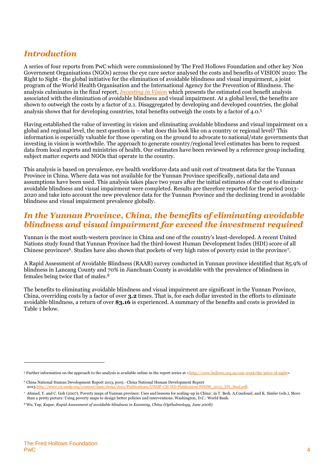# *Introduction*

A series of four reports from PwC which were commissioned by The Fred Hollows Foundation and other key Non Government Organisations (NGOs) across the eye care sector analysed the costs and benefits of VISION 2020: The Right to Sight - the global initiative for the elimination of avoidable blindness and visual impairment, a joint program of the World Health Organisation and the International Agency for the Prevention of Blindness. The analysis culminates in the final report, *[Investing in Vision](http://www.hollows.org.au/our-work/the-price-of-sight)* which presents the estimated cost benefit analysis associated with the elimination of avoidable blindness and visual impairment. At a global level, the benefits are shown to outweigh the costs by a factor of 2.1. Disaggregated by developing and developed countries, the global analysis shows that for developing countries, total benefits outweigh the costs by a factor of 4.0. 5

Having established the value of investing in vision and eliminating avoidable blindness and visual impairment on a global and regional level, the next question is – what does this look like on a country or regional level? This information is especially valuable for those operating on the ground to advocate to national/state governments that investing in vision is worthwhile. The approach to generate country/regional level estimates has been to request data from local experts and ministries of health. Our estimates have been reviewed by a reference group including subject matter experts and NGOs that operate in the country.

This analysis is based on prevalence, eye health workforce data and unit cost of treatment data for the Yunnan Province in China. Where data was not available for the Yunnan Province specifically, national data and assumptions have been used. This analysis takes place two years after the initial estimates of the cost to eliminate avoidable blindness and visual impairment were completed. Results are therefore reported for the period 2013- 2020 and take into account the new prevalence data for the Yunnan Province and the declining trend in avoidable blindness and visual impairment prevalence globally.

# *In the Yunnan Province, China, the benefits of eliminating avoidable blindness and visual impairment far exceed the investment required*

Yunnan is the most south-western province in China and one of the country's least-developed. A recent United Nations study found that Yunnan Province had the third-lowest Human Development Index (HDI) score of all Chinese provinces<sup>6</sup>. Studies have also shown that pockets of very high rates of poverty exist in the province<sup>7</sup>.

A Rapid Assessment of Avoidable Blindness (RAAB) survey conducted in Yunnan province identified that 85.9% of blindness in Lancang County and 70% in Jianchuan County is avoidable with the prevalence of blindness in females being twice that of males.<sup>8</sup>

The benefits to eliminating avoidable blindness and visual impairment are significant in the Yunnan Province, China, overriding costs by a factor of over **3.2** times. That is, for each dollar invested in the efforts to eliminate avoidable blindness, a return of over **\$3.16** is experienced. A summary of the benefits and costs is provided in Table 1 below.

<sup>&</sup>lt;sup>5</sup> Further information on the approach to the analysis is available online in the report series at [<http://www.hollows.org.au/our-work/the-price-of-sight>](http://www.hollows.org.au/our-work/the-price-of-sight).

<sup>6</sup> China National Human Development Report 2013, p105 - China National Human Development Report 201[3.http://www.cn.undp.org/content/dam/china/docs/Publications/UNDP-CH-HD-Publication-NHDR\\_2013\\_EN\\_final.pdf.](http://www.cn.undp.org/content/dam/china/docs/Publications/UNDP-CH-HD-Publication-NHDR_2013_EN_final.pdf)

<sup>7</sup> Ahmad, Y. and C. Goh (2007), Poverty maps of Yunnan province: Uses and lessons for scaling-up in China', in T. Bedi, A.Coudouel, and K. Simler (eds.), More than a pretty picture: Using poverty maps to design better policies and interventions. Washington, D.C.: World Bank.

<sup>8</sup> Wu, Yup, Kuper, *Rapid Assessment of avoidable blindness in Kunming, China (Opthalmology, June 2008).*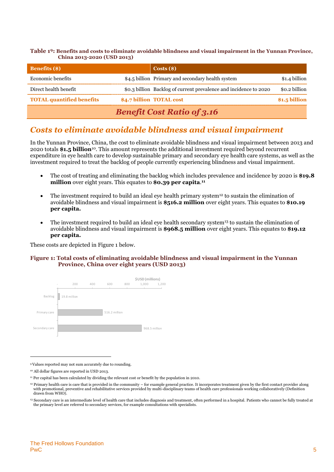**Table 1 <sup>9</sup>: Benefits and costs to eliminate avoidable blindness and visual impairment in the Yunnan Province, China 2013-2020 (USD 2013)**

| <b>Benefits</b> (\$)              |  | $\text{Costs}(\text{\$})$                                         |               |  |  |
|-----------------------------------|--|-------------------------------------------------------------------|---------------|--|--|
| Economic benefits                 |  | \$4.5 billion Primary and secondary health system                 | \$1.4 billion |  |  |
| Direct health benefit             |  | \$0.3 billion Backlog of current prevalence and incidence to 2020 | \$0.2 billion |  |  |
| <b>TOTAL quantified benefits</b>  |  | \$4.7 billion TOTAL cost                                          | \$1.5 billion |  |  |
| <b>Benefit Cost Ratio of 3.16</b> |  |                                                                   |               |  |  |

## *Costs to eliminate avoidable blindness and visual impairment*

In the Yunnan Province, China, the cost to eliminate avoidable blindness and visual impairment between 2013 and 2020 totals **\$1.5 billion**<sup>10</sup>. This amount represents the additional investment required beyond recurrent expenditure in eye health care to develop sustainable primary and secondary eye health care systems, as well as the investment required to treat the backlog of people currently experiencing blindness and visual impairment.

- The cost of treating and eliminating the backlog which includes prevalence and incidence by 2020 is **\$19.8 million** over eight years. This equates to **\$0.39 per capita**. **11**
- The investment required to build an ideal eye health primary system<sup>12</sup> to sustain the elimination of avoidable blindness and visual impairment is **\$516.2 million** over eight years. This equates to **\$10.19 per capita.**
- The investment required to build an ideal eye health secondary system<sup>13</sup> to sustain the elimination of avoidable blindness and visual impairment is **\$968.5 million** over eight years. This equates to **\$19.12 per capita.**

These costs are depicted in Figure 1 below.

#### **Figure 1: Total costs of eliminating avoidable blindness and visual impairment in the Yunnan Province, China over eight years (USD 2013)**



<sup>9</sup>Values reported may not sum accurately due to rounding.

<sup>10</sup> All dollar figures are reported in USD 2013.

<sup>11</sup> Per capital has been calculated by dividing the relevant cost or benefit by the population in 2010.

 $12$  Primary health care is care that is provided in the community – for example general practice. It incorporates treatment given by the first contact provider along with promotional, preventive and rehabilitative services provided by multi-disciplinary teams of health care professionals working collaboratively (Definition drawn from WHO).

<sup>13</sup> Secondary care is an intermediate level of health care that includes diagnosis and treatment, often performed in a hospital. Patients who cannot be fully treated at the primary level are referred to secondary services, for example consultations with specialists.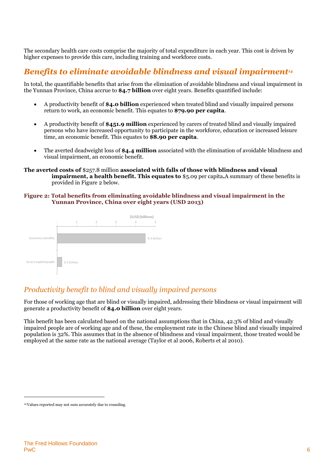The secondary health care costs comprise the majority of total expenditure in each year. This cost is driven by higher expenses to provide this care, including training and workforce costs.

# *Benefits to eliminate avoidable blindness and visual impairment<sup>14</sup>*

In total, the quantifiable benefits that arise from the elimination of avoidable blindness and visual impairment in the Yunnan Province, China accrue to **\$4.7 billion** over eight years. Benefits quantified include:

- A productivity benefit of **\$4.0 billion** experienced when treated blind and visually impaired persons return to work, an economic benefit. This equates to **\$79.90 per capita**.
- A productivity benefit of **\$451.9 million** experienced by carers of treated blind and visually impaired persons who have increased opportunity to participate in the workforce, education or increased leisure time, an economic benefit. This equates to **\$8.90 per capita**.
- The averted deadweight loss of **\$4.4 million** associated with the elimination of avoidable blindness and visual impairment, an economic benefit.

**The averted costs of** \$257.8 million **associated with falls of those with blindness and visual impairment, a health benefit. This equates to** \$5.09 per capita**.**A summary of these benefits is provided in [Figure 2](#page-5-0) below.

#### <span id="page-5-0"></span>**Figure 2: Total benefits from eliminating avoidable blindness and visual impairment in the Yunnan Province, China over eight years (USD 2013)**



## *Productivity benefit to blind and visually impaired persons*

For those of working age that are blind or visually impaired, addressing their blindness or visual impairment will generate a productivity benefit of **\$4.0 billion** over eight years.

This benefit has been calculated based on the national assumptions that in China, 42.3% of blind and visually impaired people are of working age and of these, the employment rate in the Chinese blind and visually impaired population is 32%. This assumes that in the absence of blindness and visual impairment, those treated would be employed at the same rate as the national average (Taylor et al 2006, Roberts et al 2010).

<sup>14</sup>Values reported may not sum accurately due to rounding.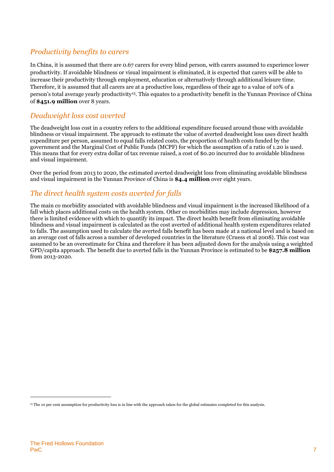## *Productivity benefits to carers*

In China, it is assumed that there are 0.67 carers for every blind person, with carers assumed to experience lower productivity. If avoidable blindness or visual impairment is eliminated, it is expected that carers will be able to increase their productivity through employment, education or alternatively through additional leisure time. Therefore, it is assumed that all carers are at a productive loss, regardless of their age to a value of 10% of a person's total average yearly productivity<sup>15</sup>. This equates to a productivity benefit in the Yunnan Province of China of **\$451.9 million** over 8 years.

### *Deadweight loss cost averted*

The deadweight loss cost in a country refers to the additional expenditure focused around those with avoidable blindness or visual impairment. The approach to estimate the value of averted deadweight loss uses direct health expenditure per person, assumed to equal falls related costs, the proportion of health costs funded by the government and the Marginal Cost of Public Funds (MCPF) for which the assumption of a ratio of 1.20 is used. This means that for every extra dollar of tax revenue raised, a cost of \$0.20 incurred due to avoidable blindness and visual impairment.

Over the period from 2013 to 2020, the estimated averted deadweight loss from eliminating avoidable blindness and visual impairment in the Yunnan Province of China is **\$4.4 million** over eight years.

## *The direct health system costs averted for falls*

The main co morbidity associated with avoidable blindness and visual impairment is the increased likelihood of a fall which places additional costs on the health system. Other co morbidities may include depression, however there is limited evidence with which to quantify its impact. The direct health benefit from eliminating avoidable blindness and visual impairment is calculated as the cost averted of additional health system expenditures related to falls. The assumption used to calculate the averted falls benefit has been made at a national level and is based on an average cost of falls across a number of developed countries in the literature (Cruess et al 2008). This cost was assumed to be an overestimate for China and therefore it has been adjusted down for the analysis using a weighted GPD/capita approach. The benefit due to averted falls in the Yunnan Province is estimated to be **\$257.8 million** from 2013-2020.

<sup>15</sup> The 10 per cent assumption for productivity loss is in line with the approach taken for the global estimates completed for this analysis.